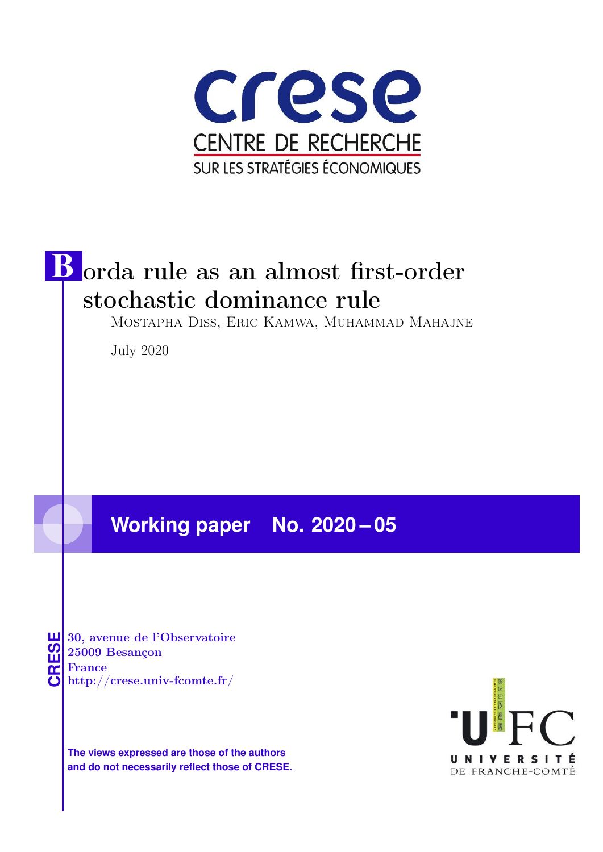



Mostapha Diss, Eric Kamwa, Muhammad Mahajne

July 2020

# **Working paper No. 2020 – 05**



**CRESE 30, avenue de l'Observatoire<br>
25009 Besançon<br>
France<br>
<b>CRESE de l'Observatoire**<br>
Http://crese.univ-fcomte.fr/ 25009 Besançon France

**The views expressed are those of the authors and do not necessarily reflect those of CRESE.**

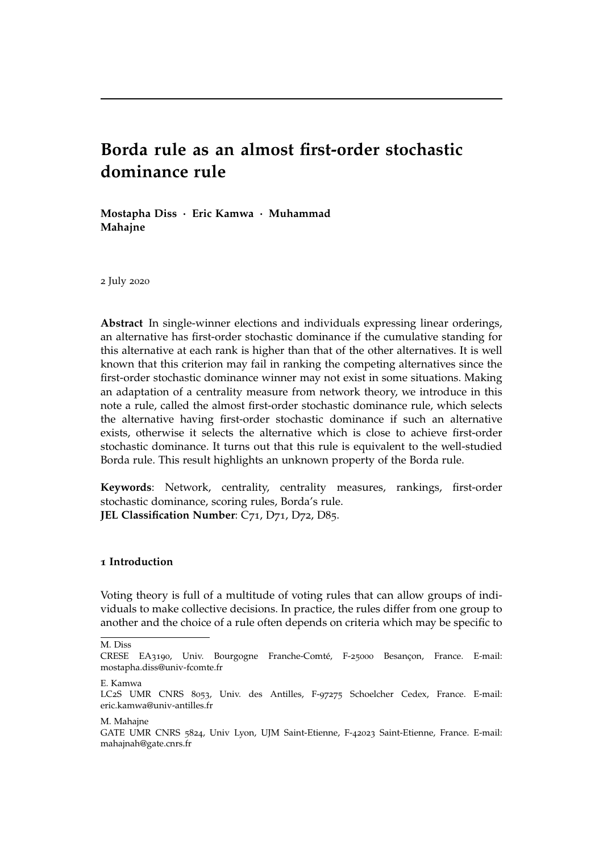## **Borda rule as an almost first-order stochastic dominance rule**

**Mostapha Diss** · **Eric Kamwa** · **Muhammad Mahajne**

2 July 2020

**Abstract** In single-winner elections and individuals expressing linear orderings, an alternative has first-order stochastic dominance if the cumulative standing for this alternative at each rank is higher than that of the other alternatives. It is well known that this criterion may fail in ranking the competing alternatives since the first-order stochastic dominance winner may not exist in some situations. Making an adaptation of a centrality measure from network theory, we introduce in this note a rule, called the almost first-order stochastic dominance rule, which selects the alternative having first-order stochastic dominance if such an alternative exists, otherwise it selects the alternative which is close to achieve first-order stochastic dominance. It turns out that this rule is equivalent to the well-studied Borda rule. This result highlights an unknown property of the Borda rule.

**Keywords**: Network, centrality, centrality measures, rankings, first-order stochastic dominance, scoring rules, Borda's rule. JEL Classification Number: C71, D71, D72, D85.

#### **1 Introduction**

Voting theory is full of a multitude of voting rules that can allow groups of individuals to make collective decisions. In practice, the rules differ from one group to another and the choice of a rule often depends on criteria which may be specific to

M. Diss

E. Kamwa

M. Mahajne

CRESE EA3190, Univ. Bourgogne Franche-Comté, F-25000 Besançon, France. E-mail: mostapha.diss@univ-fcomte.fr

LC2S UMR CNRS 8053, Univ. des Antilles, F-97275 Schoelcher Cedex, France. E-mail: eric.kamwa@univ-antilles.fr

GATE UMR CNRS 5824, Univ Lyon, UJM Saint-Etienne, F-42023 Saint-Etienne, France. E-mail: mahajnah@gate.cnrs.fr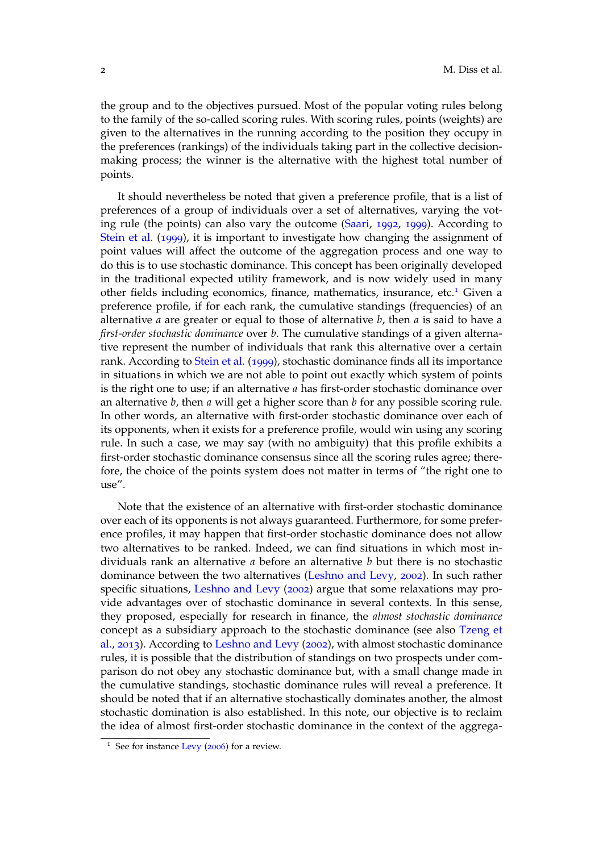the group and to the objectives pursued. Most of the popular voting rules belong to the family of the so-called scoring rules. With scoring rules, points (weights) are given to the alternatives in the running according to the position they occupy in the preferences (rankings) of the individuals taking part in the collective decisionmaking process; the winner is the alternative with the highest total number of points.

It should nevertheless be noted that given a preference profile, that is a list of preferences of a group of individuals over a set of alternatives, varying the voting rule (the points) can also vary the outcome (Saari, 1992, 1999). According to Stein et al. (1999), it is important to investigate how changing the assignment of point values will affect the outcome of the aggregation process and one way to do this is to use stochastic dominance. This concept has been originally developed in the traditional expected utility framework, and is now widely used in many other fields including economics, finance, mathematics, insurance, etc.<sup>1</sup> Given a preference profile, if for each rank, the cumulative standings (frequencies) of an alternative *a* are greater or equal to those of alternative *b*, then *a* is said to have a *first-order stochastic dominance* over *b*. The cumulative standings of a given alternative represent the number of individuals that rank this alternative over a certain rank. According to Stein et al. (1999), stochastic dominance finds all its importance in situations in which we are not able to point out exactly which system of points is the right one to use; if an alternative *a* has first-order stochastic dominance over an alternative *b*, then *a* will get a higher score than *b* for any possible scoring rule. In other words, an alternative with first-order stochastic dominance over each of its opponents, when it exists for a preference profile, would win using any scoring rule. In such a case, we may say (with no ambiguity) that this profile exhibits a first-order stochastic dominance consensus since all the scoring rules agree; therefore, the choice of the points system does not matter in terms of "the right one to  $11$ Se $''$ .

Note that the existence of an alternative with first-order stochastic dominance over each of its opponents is not always guaranteed. Furthermore, for some preference profiles, it may happen that first-order stochastic dominance does not allow two alternatives to be ranked. Indeed, we can find situations in which most individuals rank an alternative *a* before an alternative *b* but there is no stochastic dominance between the two alternatives (Leshno and Levy, 2002). In such rather specific situations, Leshno and Levy (2002) argue that some relaxations may provide advantages over of stochastic dominance in several contexts. In this sense, they proposed, especially for research in finance, the *almost stochastic dominance* concept as a subsidiary approach to the stochastic dominance (see also Tzeng et al., 2013). According to Leshno and Levy (2002), with almost stochastic dominance rules, it is possible that the distribution of standings on two prospects under comparison do not obey any stochastic dominance but, with a small change made in the cumulative standings, stochastic dominance rules will reveal a preference. It should be noted that if an alternative stochastically dominates another, the almost stochastic domination is also established. In this note, our objective is to reclaim the idea of almost first-order stochastic dominance in the context of the aggrega-

<sup>&</sup>lt;sup>1</sup> See for instance Levy (2006) for a review.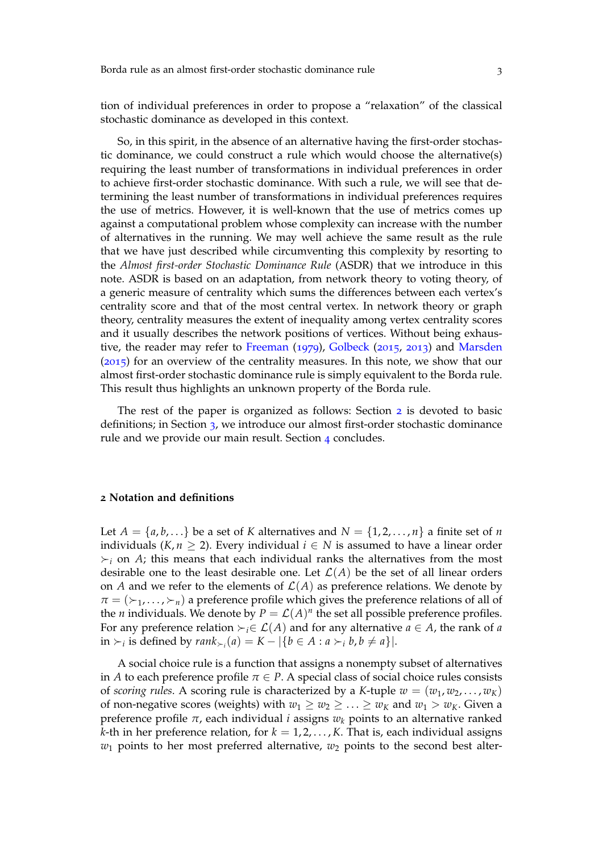tion of individual preferences in order to propose a "relaxation" of the classical stochastic dominance as developed in this context.

So, in this spirit, in the absence of an alternative having the first-order stochastic dominance, we could construct a rule which would choose the alternative(s) requiring the least number of transformations in individual preferences in order to achieve first-order stochastic dominance. With such a rule, we will see that determining the least number of transformations in individual preferences requires the use of metrics. However, it is well-known that the use of metrics comes up against a computational problem whose complexity can increase with the number of alternatives in the running. We may well achieve the same result as the rule that we have just described while circumventing this complexity by resorting to the *Almost first-order Stochastic Dominance Rule* (ASDR) that we introduce in this note. ASDR is based on an adaptation, from network theory to voting theory, of a generic measure of centrality which sums the differences between each vertex's centrality score and that of the most central vertex. In network theory or graph theory, centrality measures the extent of inequality among vertex centrality scores and it usually describes the network positions of vertices. Without being exhaustive, the reader may refer to Freeman (1979), Golbeck (2015, 2013) and Marsden (2015) for an overview of the centrality measures. In this note, we show that our almost first-order stochastic dominance rule is simply equivalent to the Borda rule. This result thus highlights an unknown property of the Borda rule.

The rest of the paper is organized as follows: Section 2 is devoted to basic definitions; in Section 3, we introduce our almost first-order stochastic dominance rule and we provide our main result. Section 4 concludes.

#### **2 Notation and definitions**

Let  $A = \{a, b, \ldots\}$  be a set of K alternatives and  $N = \{1, 2, \ldots, n\}$  a finite set of *n* individuals ( $K, n \geq 2$ ). Every individual  $i \in N$  is assumed to have a linear order  $\succ_i$  on *A*; this means that each individual ranks the alternatives from the most desirable one to the least desirable one. Let  $\mathcal{L}(A)$  be the set of all linear orders on *A* and we refer to the elements of  $\mathcal{L}(A)$  as preference relations. We denote by  $\pi = (\succ_1, \ldots, \succ_n)$  a preference profile which gives the preference relations of all of the *n* individuals. We denote by  $P = \mathcal{L}(A)^n$  the set all possible preference profiles. For any preference relation  $\succ_i \in \mathcal{L}(A)$  and for any alternative  $a \in A$ , the rank of a in ≻<sub>*i*</sub> is defined by  $rank_{\succ_i}(a) = K - |\{b \in A : a \succ_i b, b \neq a\}|$ .

A social choice rule is a function that assigns a nonempty subset of alternatives in *A* to each preference profile  $\pi \in P$ . A special class of social choice rules consists of *scoring rules*. A scoring rule is characterized by a *K*-tuple  $w = (w_1, w_2, \dots, w_K)$ of non-negative scores (weights) with  $w_1 \geq w_2 \geq \ldots \geq w_k$  and  $w_1 > w_k$ . Given a preference profile *π*, each individual *i* assigns *w<sup>k</sup>* points to an alternative ranked *k*-th in her preference relation, for  $k = 1, 2, ..., K$ . That is, each individual assigns  $w_1$  points to her most preferred alternative,  $w_2$  points to the second best alter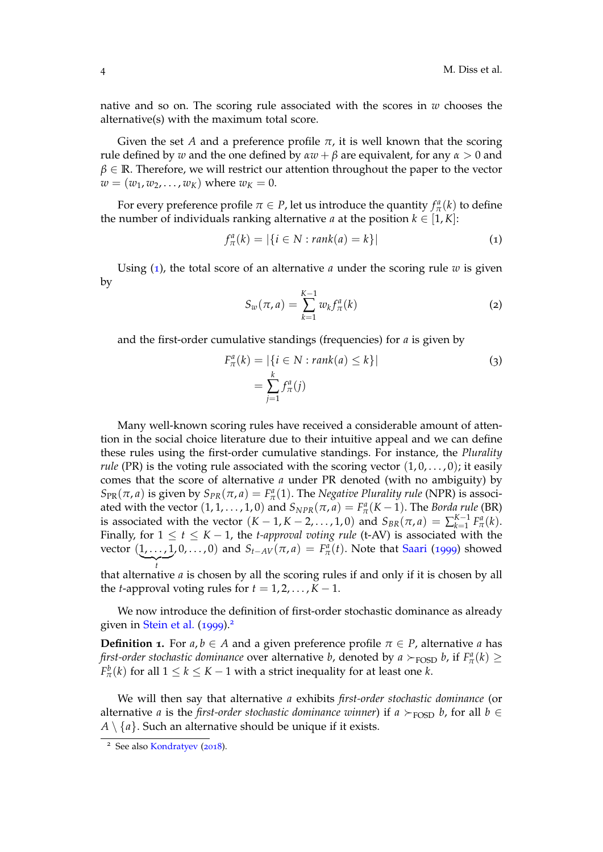native and so on. The scoring rule associated with the scores in *w* chooses the alternative(s) with the maximum total score.

Given the set *A* and a preference profile  $\pi$ , it is well known that the scoring rule defined by *w* and the one defined by  $\alpha w + \beta$  are equivalent, for any  $\alpha > 0$  and  $\beta \in \mathbb{R}$ . Therefore, we will restrict our attention throughout the paper to the vector  $w = (w_1, w_2, \dots, w_K)$  where  $w_K = 0$ .

For every preference profile  $\pi \in P$ , let us introduce the quantity  $f^a_\pi(k)$  to define the number of individuals ranking alternative *a* at the position  $k \in [1, K]$ :

$$
f_{\pi}^{a}(k) = |\{i \in N : rank(a) = k\}|
$$
 (1)

Using (1), the total score of an alternative *a* under the scoring rule *w* is given by

$$
S_w(\pi, a) = \sum_{k=1}^{K-1} w_k f_{\pi}^a(k)
$$
 (2)

and the first-order cumulative standings (frequencies) for *a* is given by

$$
F_{\pi}^{a}(k) = |\{i \in N : rank(a) \le k\}|
$$
  
= 
$$
\sum_{j=1}^{k} f_{\pi}^{a}(j)
$$
 (3)

Many well-known scoring rules have received a considerable amount of attention in the social choice literature due to their intuitive appeal and we can define these rules using the first-order cumulative standings. For instance, the *Plurality rule* (PR) is the voting rule associated with the scoring vector  $(1, 0, \ldots, 0)$ ; it easily comes that the score of alternative *a* under PR denoted (with no ambiguity) by *S*<sub>PR</sub>( $\pi$ , *a*) is given by *S*<sub>*PR*</sub>( $\pi$ , *a*) = *F*<sub> $pi$ </sub><sup> $a$ </sup>(1). The *Negative Plurality rule* (NPR) is associated with the vector  $(1, 1, \ldots, 1, 0)$  and  $S_{NPR}(\pi, a) = F^a_\pi(K - 1)$ . The *Borda rule* (BR) is associated with the vector  $(K-1, K-2, \ldots, 1, 0)$  and  $S_{BR}(\pi, a) = \sum_{k=1}^{K-1} F_{\pi}^a(k)$ . Finally, for  $1 \le t \le K - 1$ , the *t-approval voting rule* (t-AV) is associated with the vector  $(1,\ldots,1)$  $\left\lfloor \bigwedge\limits_{i} \right\rfloor$ , 0, . . . , 0) and  $S$ <sub>*t*−*AV*</sub>( $π$ , *a*) =  $F^a_π(t)$ . Note that Saari (1999) showed

*t* that alternative *a* is chosen by all the scoring rules if and only if it is chosen by all the *t*-approval voting rules for  $t = 1, 2, \ldots, K - 1$ .

We now introduce the definition of first-order stochastic dominance as already given in Stein et al. (1999).<sup>2</sup>

**Definition 1.** For  $a, b \in A$  and a given preference profile  $\pi \in P$ , alternative a has *first-order stochastic dominance* over alternative *b*, denoted by  $a \succ_{\text{FOSD}} b$ , if  $F^a_\pi(k) \geq$  $F^b_\pi(k)$  for all  $1 \leq k \leq K-1$  with a strict inequality for at least one *k*.

We will then say that alternative *a* exhibits *first-order stochastic dominance* (or alternative *a* is the *first-order stochastic dominance winner*) if *a*  $\succ$ <sub>FOSD</sub> *b*, for all *b*  $\in$  $A \setminus \{a\}$ . Such an alternative should be unique if it exists.

<sup>&</sup>lt;sup>2</sup> See also Kondratyev (2018).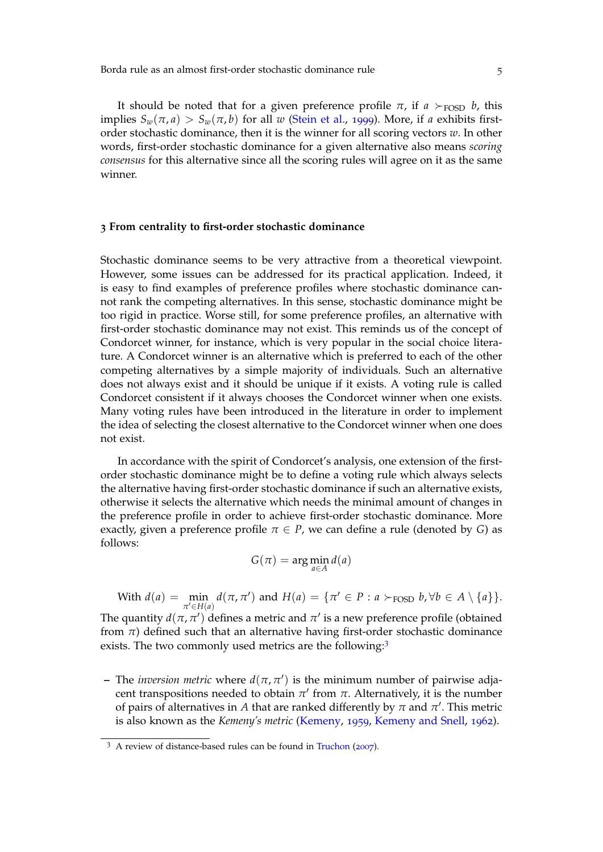Borda rule as an almost first-order stochastic dominance rule 5

It should be noted that for a given preference profile  $\pi$ , if  $a >_{\text{FOSP}} b$ , this implies  $S_w(\pi, a) > S_w(\pi, b)$  for all *w* (Stein et al., 1999). More, if *a* exhibits firstorder stochastic dominance, then it is the winner for all scoring vectors *w*. In other words, first-order stochastic dominance for a given alternative also means *scoring consensus* for this alternative since all the scoring rules will agree on it as the same winner.

#### **3 From centrality to first-order stochastic dominance**

Stochastic dominance seems to be very attractive from a theoretical viewpoint. However, some issues can be addressed for its practical application. Indeed, it is easy to find examples of preference profiles where stochastic dominance cannot rank the competing alternatives. In this sense, stochastic dominance might be too rigid in practice. Worse still, for some preference profiles, an alternative with first-order stochastic dominance may not exist. This reminds us of the concept of Condorcet winner, for instance, which is very popular in the social choice literature. A Condorcet winner is an alternative which is preferred to each of the other competing alternatives by a simple majority of individuals. Such an alternative does not always exist and it should be unique if it exists. A voting rule is called Condorcet consistent if it always chooses the Condorcet winner when one exists. Many voting rules have been introduced in the literature in order to implement the idea of selecting the closest alternative to the Condorcet winner when one does not exist.

In accordance with the spirit of Condorcet's analysis, one extension of the firstorder stochastic dominance might be to define a voting rule which always selects the alternative having first-order stochastic dominance if such an alternative exists, otherwise it selects the alternative which needs the minimal amount of changes in the preference profile in order to achieve first-order stochastic dominance. More exactly, given a preference profile  $\pi \in P$ , we can define a rule (denoted by *G*) as follows:

$$
G(\pi) = \arg\min_{a \in A} d(a)
$$

With  $d(a) = \min$  $\pi$ <sup>*c*</sup>∈*H*(*a*)  $d(\pi, \pi')$  and  $H(a) = {\pi' \in P : a \succ_{\text{FOSD}} b, \forall b \in A \setminus \{a\}}.$ 

The quantity  $d(\pi, \pi')$  defines a metric and  $\pi'$  is a new preference profile (obtained from  $\pi$ ) defined such that an alternative having first-order stochastic dominance exists. The two commonly used metrics are the following:<sup>3</sup>

**–** The *inversion metric* where *d*(*π*, *π* 0 ) is the minimum number of pairwise adjacent transpositions needed to obtain  $\pi'$  from  $\pi$ . Alternatively, it is the number of pairs of alternatives in  $A$  that are ranked differently by  $\pi$  and  $\pi'.$  This metric is also known as the *Kemeny's metric* (Kemeny, 1959, Kemeny and Snell, 1962).

<sup>&</sup>lt;sup>3</sup> A review of distance-based rules can be found in Truchon (2007).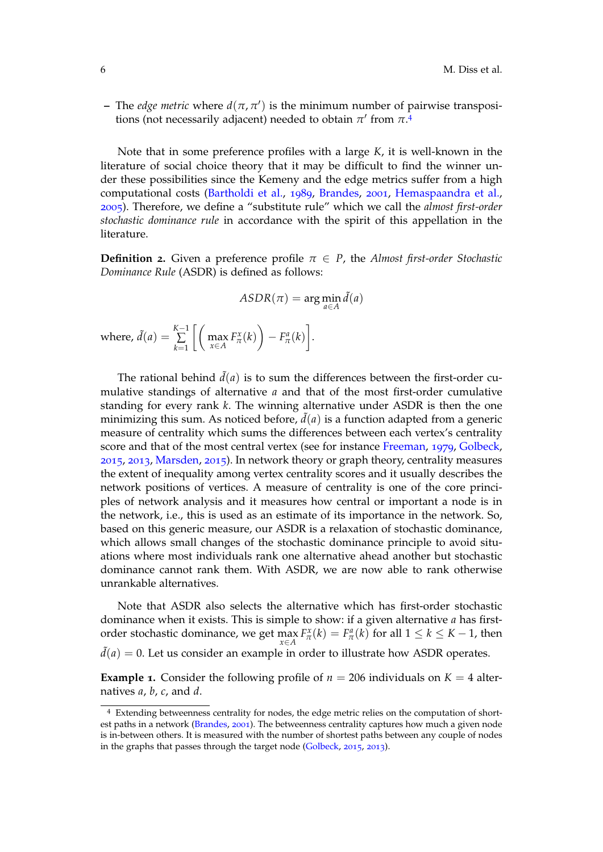$-$  The *edge metric* where  $d(\pi, \pi')$  is the minimum number of pairwise transpositions (not necessarily adjacent) needed to obtain  $\pi'$  from  $\pi^4$ 

Note that in some preference profiles with a large *K*, it is well-known in the literature of social choice theory that it may be difficult to find the winner under these possibilities since the Kemeny and the edge metrics suffer from a high computational costs (Bartholdi et al., 1989, Brandes, 2001, Hemaspaandra et al., 2005). Therefore, we define a "substitute rule" which we call the *almost first-order stochastic dominance rule* in accordance with the spirit of this appellation in the literature.

**Definition 2.** Given a preference profile  $\pi \in P$ , the *Almost first-order Stochastic Dominance Rule* (ASDR) is defined as follows:

$$
ASDR(\pi) = \arg\min_{a \in A} \tilde{d}(a)
$$
  
where,  $\tilde{d}(a) = \sum_{k=1}^{K-1} \left[ \left( \max_{x \in A} F_{\pi}^{x}(k) \right) - F_{\pi}^{a}(k) \right].$ 

The rational behind  $\tilde{d}(a)$  is to sum the differences between the first-order cumulative standings of alternative *a* and that of the most first-order cumulative standing for every rank *k*. The winning alternative under ASDR is then the one minimizing this sum. As noticed before,  $\tilde{d}(a)$  is a function adapted from a generic measure of centrality which sums the differences between each vertex's centrality score and that of the most central vertex (see for instance Freeman, 1979, Golbeck, 2015, 2013, Marsden, 2015). In network theory or graph theory, centrality measures the extent of inequality among vertex centrality scores and it usually describes the network positions of vertices. A measure of centrality is one of the core principles of network analysis and it measures how central or important a node is in the network, i.e., this is used as an estimate of its importance in the network. So, based on this generic measure, our ASDR is a relaxation of stochastic dominance, which allows small changes of the stochastic dominance principle to avoid situations where most individuals rank one alternative ahead another but stochastic dominance cannot rank them. With ASDR, we are now able to rank otherwise unrankable alternatives.

Note that ASDR also selects the alternative which has first-order stochastic dominance when it exists. This is simple to show: if a given alternative *a* has firstorder stochastic dominance, we get  $\max_{x \in A} F_{\pi}^x(k) = F_{\pi}^a(k)$  for all  $1 \leq k \leq K - 1$ , then  $\tilde{d}(a) = 0$ . Let us consider an example in order to illustrate how ASDR operates.

**Example 1.** Consider the following profile of  $n = 206$  individuals on  $K = 4$  alternatives *a*, *b*, *c*, and *d*.

<sup>4</sup> Extending betweenness centrality for nodes, the edge metric relies on the computation of shortest paths in a network (Brandes, 2001). The betweenness centrality captures how much a given node is in-between others. It is measured with the number of shortest paths between any couple of nodes in the graphs that passes through the target node (Golbeck, 2015, 2013).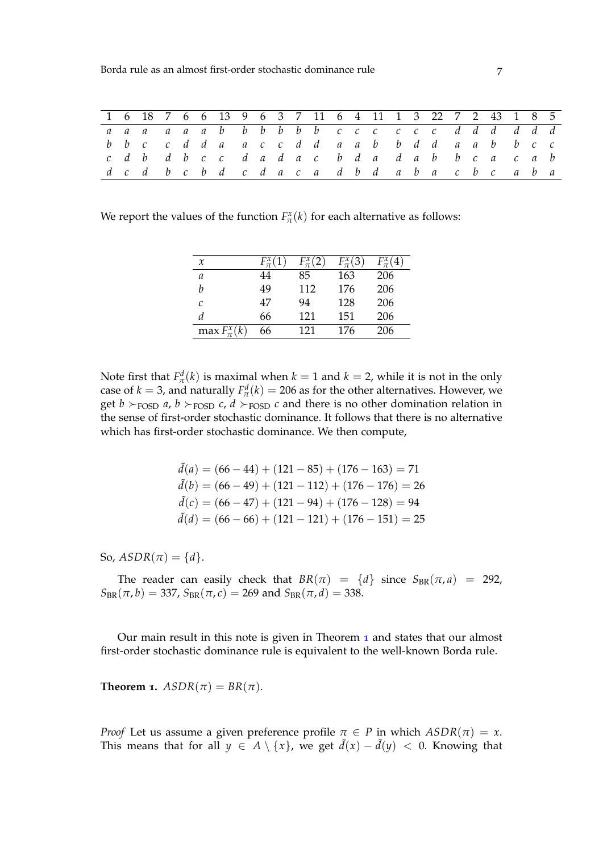|  |  |  |  |  |  |  | 1 6 18 7 6 6 13 9 6 3 7 11 6 4 11 1 3 22 7 2 43 1 8 5 |  |  |  |  |  |
|--|--|--|--|--|--|--|-------------------------------------------------------|--|--|--|--|--|
|  |  |  |  |  |  |  | aaaaaab b b b b b c c c c c d d d d d d               |  |  |  |  |  |
|  |  |  |  |  |  |  | bbc cdda accdd aabbdd aabbcc                          |  |  |  |  |  |
|  |  |  |  |  |  |  | cdb dbcc dadac bda dabbca cab                         |  |  |  |  |  |
|  |  |  |  |  |  |  | d c d b c b d c d a c a d b d a b a c b c a b a       |  |  |  |  |  |

We report the values of the function  $F_{\pi}^x(k)$  for each alternative as follows:

| $\chi$                | $F_{\pi}^x(1)$ | $F_{\pi}^{x}(2)$ | $F_{\pi}^{x}(3)$ | $F_{\pi}^x(4)$ |
|-----------------------|----------------|------------------|------------------|----------------|
| a                     | 44             | 85               | 163              | 206            |
| h                     | 49             | 112              | 176              | 206            |
| C                     | 47             | 94               | 128              | 206            |
| d                     | 66             | 121              | 151              | 206            |
| $\max F_{\pi}^{x}(k)$ | 66             | 121              | 176              | 206            |

Note first that  $F^d_\pi(k)$  is maximal when  $k = 1$  and  $k = 2$ , while it is not in the only case of  $k = 3$ , and naturally  $F^d_\pi(k) = 206$  as for the other alternatives. However, we get  $b \succ_{\text{FOSD}} a$ ,  $b \succ_{\text{FOSD}} c$ ,  $d \succ_{\text{FOSD}} c$  and there is no other domination relation in the sense of first-order stochastic dominance. It follows that there is no alternative which has first-order stochastic dominance. We then compute,

$$
\tilde{d}(a) = (66 - 44) + (121 - 85) + (176 - 163) = 71
$$
  
\n
$$
\tilde{d}(b) = (66 - 49) + (121 - 112) + (176 - 176) = 26
$$
  
\n
$$
\tilde{d}(c) = (66 - 47) + (121 - 94) + (176 - 128) = 94
$$
  
\n
$$
\tilde{d}(d) = (66 - 66) + (121 - 121) + (176 - 151) = 25
$$

So,  $ASDR(\pi) = \{d\}.$ 

The reader can easily check that  $BR(\pi) = \{d\}$  since  $S_{BR}(\pi, a) = 292$ ,  $S_{BR}(\pi, b) = 337$ ,  $S_{BR}(\pi, c) = 269$  and  $S_{BR}(\pi, d) = 338$ .

Our main result in this note is given in Theorem 1 and states that our almost first-order stochastic dominance rule is equivalent to the well-known Borda rule.

**Theorem 1.**  $ASDR(\pi) = BR(\pi)$ .

*Proof* Let us assume a given preference profile  $\pi \in P$  in which  $ASDR(\pi) = x$ . This means that for all  $y \in A \setminus \{x\}$ , we get  $\tilde{d}(x) - \tilde{d}(y) < 0$ . Knowing that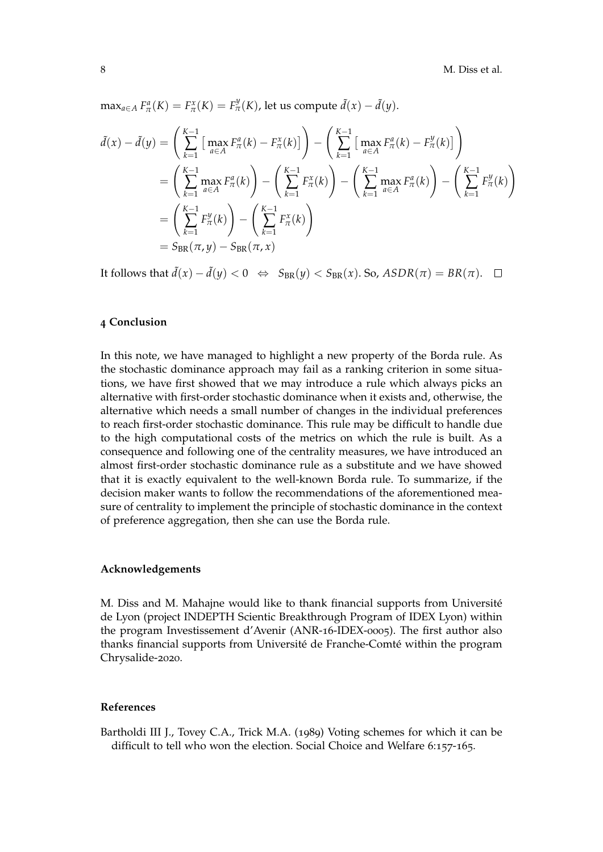$\max_{a \in A} F_{\pi}^a(K) = F_{\pi}^x(K) = F_{\pi}^y(K)$ , let us compute  $\tilde{d}(x) - \tilde{d}(y)$ .

$$
\tilde{d}(x) - \tilde{d}(y) = \left(\sum_{k=1}^{K-1} \left[ \max_{a \in A} F_{\pi}^{a}(k) - F_{\pi}^{x}(k) \right] \right) - \left(\sum_{k=1}^{K-1} \left[ \max_{a \in A} F_{\pi}^{a}(k) - F_{\pi}^{y}(k) \right] \right)
$$
\n
$$
= \left(\sum_{k=1}^{K-1} \max_{a \in A} F_{\pi}^{a}(k)\right) - \left(\sum_{k=1}^{K-1} F_{\pi}^{x}(k)\right) - \left(\sum_{k=1}^{K-1} \max_{a \in A} F_{\pi}^{a}(k)\right) - \left(\sum_{k=1}^{K-1} F_{\pi}^{y}(k)\right)
$$
\n
$$
= \left(\sum_{k=1}^{K-1} F_{\pi}^{y}(k)\right) - \left(\sum_{k=1}^{K-1} F_{\pi}^{x}(k)\right)
$$
\n
$$
= S_{BR}(\pi, y) - S_{BR}(\pi, x)
$$

It follows that  $\tilde{d}(x) - \tilde{d}(y) < 0 \Leftrightarrow S_{BR}(y) < S_{BR}(x)$ . So,  $ASDR(\pi) = BR(\pi)$ . □

#### **4 Conclusion**

In this note, we have managed to highlight a new property of the Borda rule. As the stochastic dominance approach may fail as a ranking criterion in some situations, we have first showed that we may introduce a rule which always picks an alternative with first-order stochastic dominance when it exists and, otherwise, the alternative which needs a small number of changes in the individual preferences to reach first-order stochastic dominance. This rule may be difficult to handle due to the high computational costs of the metrics on which the rule is built. As a consequence and following one of the centrality measures, we have introduced an almost first-order stochastic dominance rule as a substitute and we have showed that it is exactly equivalent to the well-known Borda rule. To summarize, if the decision maker wants to follow the recommendations of the aforementioned measure of centrality to implement the principle of stochastic dominance in the context of preference aggregation, then she can use the Borda rule.

### **Acknowledgements**

M. Diss and M. Mahajne would like to thank financial supports from Université de Lyon (project INDEPTH Scientic Breakthrough Program of IDEX Lyon) within the program Investissement d'Avenir (ANR-16-IDEX-0005). The first author also thanks financial supports from Université de Franche-Comté within the program Chrysalide-2020.

#### **References**

Bartholdi III J., Tovey C.A., Trick M.A. (1989) Voting schemes for which it can be difficult to tell who won the election. Social Choice and Welfare 6:157-165.